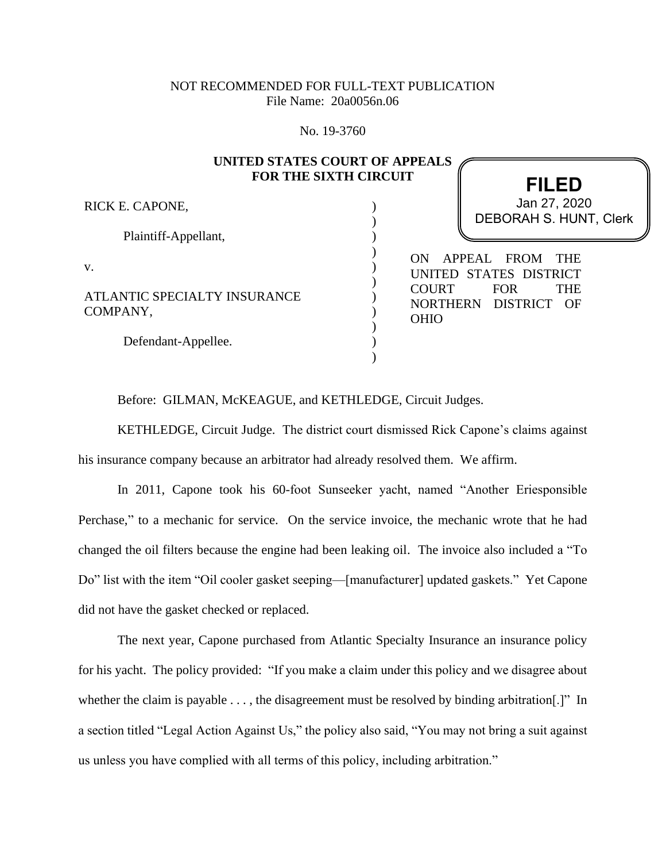## NOT RECOMMENDED FOR FULL-TEXT PUBLICATION File Name: 20a0056n.06

No. 19-3760

## **UNITED STATES COURT OF APPEALS FOR THE SIXTH CIRCUIT**

) ) ) ) ) ) ) ) ) ) )

RICK E. CAPONE,

Plaintiff-Appellant,

v.

ATLANTIC SPECIALTY INSURANCE COMPANY,

Defendant-Appellee.

**FILED** DEBORAH S. HUNT, Clerk Jan 27, 2020

ON APPEAL FROM THE UNITED STATES DISTRICT COURT FOR THE NORTHERN DISTRICT OF OHIO

Before: GILMAN, McKEAGUE, and KETHLEDGE, Circuit Judges.

KETHLEDGE, Circuit Judge. The district court dismissed Rick Capone's claims against his insurance company because an arbitrator had already resolved them. We affirm.

In 2011, Capone took his 60-foot Sunseeker yacht, named "Another Eriesponsible Perchase," to a mechanic for service. On the service invoice, the mechanic wrote that he had changed the oil filters because the engine had been leaking oil. The invoice also included a "To Do" list with the item "Oil cooler gasket seeping—[manufacturer] updated gaskets." Yet Capone did not have the gasket checked or replaced.

The next year, Capone purchased from Atlantic Specialty Insurance an insurance policy for his yacht. The policy provided: "If you make a claim under this policy and we disagree about whether the claim is payable ..., the disagreement must be resolved by binding arbitration.<sup>[1]</sup> In a section titled "Legal Action Against Us," the policy also said, "You may not bring a suit against us unless you have complied with all terms of this policy, including arbitration."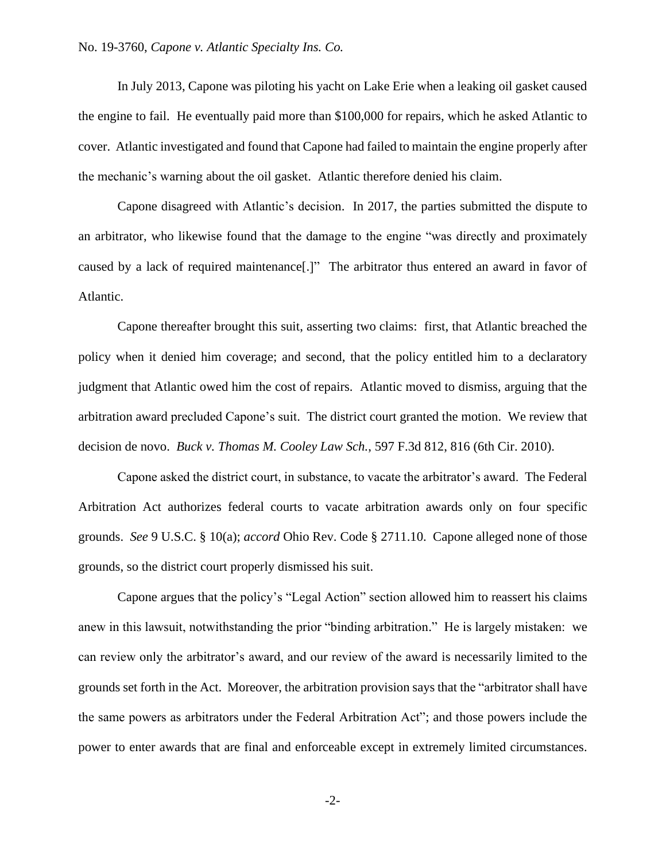In July 2013, Capone was piloting his yacht on Lake Erie when a leaking oil gasket caused the engine to fail. He eventually paid more than \$100,000 for repairs, which he asked Atlantic to cover. Atlantic investigated and found that Capone had failed to maintain the engine properly after the mechanic's warning about the oil gasket. Atlantic therefore denied his claim.

Capone disagreed with Atlantic's decision. In 2017, the parties submitted the dispute to an arbitrator, who likewise found that the damage to the engine "was directly and proximately caused by a lack of required maintenance[.]" The arbitrator thus entered an award in favor of Atlantic.

Capone thereafter brought this suit, asserting two claims: first, that Atlantic breached the policy when it denied him coverage; and second, that the policy entitled him to a declaratory judgment that Atlantic owed him the cost of repairs. Atlantic moved to dismiss, arguing that the arbitration award precluded Capone's suit. The district court granted the motion. We review that decision de novo. *Buck v. Thomas M. Cooley Law Sch.*, 597 F.3d 812, 816 (6th Cir. 2010).

Capone asked the district court, in substance, to vacate the arbitrator's award. The Federal Arbitration Act authorizes federal courts to vacate arbitration awards only on four specific grounds. *See* 9 U.S.C. § 10(a); *accord* Ohio Rev. Code § 2711.10. Capone alleged none of those grounds, so the district court properly dismissed his suit.

Capone argues that the policy's "Legal Action" section allowed him to reassert his claims anew in this lawsuit, notwithstanding the prior "binding arbitration." He is largely mistaken: we can review only the arbitrator's award, and our review of the award is necessarily limited to the grounds set forth in the Act. Moreover, the arbitration provision says that the "arbitrator shall have the same powers as arbitrators under the Federal Arbitration Act"; and those powers include the power to enter awards that are final and enforceable except in extremely limited circumstances.